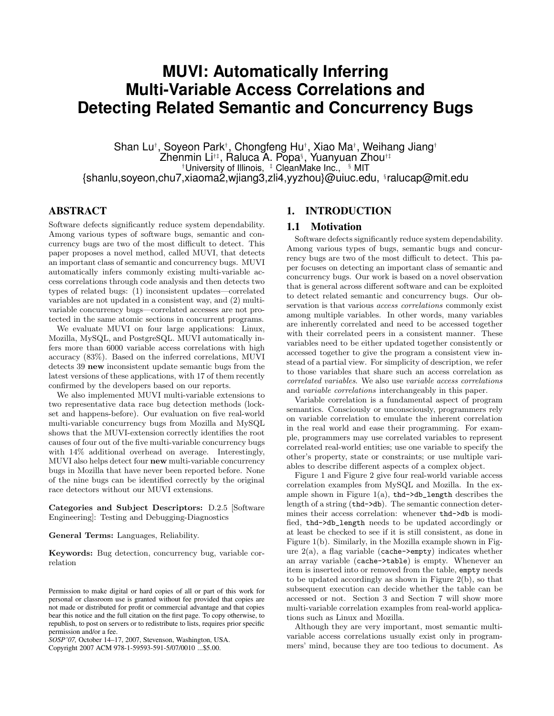# **MUVI: Automatically Inferring Multi-Variable Access Correlations and Detecting Related Semantic and Concurrency Bugs**

Shan Lu<sup>†</sup>, Soyeon Park<sup>†</sup>, Chongfeng Hu<sup>†</sup>, Xiao Ma<sup>†</sup>, Weihang Jiang† Zhenmin Li†‡ , Raluca A. Popa§ , Yuanyuan Zhou†‡ †University of Illinois, ‡ CleanMake Inc., § MIT {shanlu,soyeon,chu7,xiaoma2,wjiang3,zli4,yyzhou}@uiuc.edu, § ralucap@mit.edu

# **ABSTRACT**

Software defects significantly reduce system dependability. Among various types of software bugs, semantic and concurrency bugs are two of the most difficult to detect. This paper proposes a novel method, called MUVI, that detects an important class of semantic and concurrency bugs. MUVI automatically infers commonly existing multi-variable access correlations through code analysis and then detects two types of related bugs: (1) inconsistent updates—correlated variables are not updated in a consistent way, and (2) multivariable concurrency bugs—correlated accesses are not protected in the same atomic sections in concurrent programs.

We evaluate MUVI on four large applications: Linux, Mozilla, MySQL, and PostgreSQL. MUVI automatically infers more than 6000 variable access correlations with high accuracy (83%). Based on the inferred correlations, MUVI detects 39 new inconsistent update semantic bugs from the latest versions of these applications, with 17 of them recently confirmed by the developers based on our reports.

We also implemented MUVI multi-variable extensions to two representative data race bug detection methods (lockset and happens-before). Our evaluation on five real-world multi-variable concurrency bugs from Mozilla and MySQL shows that the MUVI-extension correctly identifies the root causes of four out of the five multi-variable concurrency bugs with 14% additional overhead on average. Interestingly, MUVI also helps detect four new multi-variable concurrency bugs in Mozilla that have never been reported before. None of the nine bugs can be identified correctly by the original race detectors without our MUVI extensions.

Categories and Subject Descriptors: D.2.5 [Software Engineering]: Testing and Debugging-Diagnostics

General Terms: Languages, Reliability.

Keywords: Bug detection, concurrency bug, variable correlation

*SOSP'07,* October 14–17, 2007, Stevenson, Washington, USA.

Copyright 2007 ACM 978-1-59593-591-5/07/0010 ...\$5.00.

# **1. INTRODUCTION**

#### **1.1 Motivation**

Software defects significantly reduce system dependability. Among various types of bugs, semantic bugs and concurrency bugs are two of the most difficult to detect. This paper focuses on detecting an important class of semantic and concurrency bugs. Our work is based on a novel observation that is general across different software and can be exploited to detect related semantic and concurrency bugs. Our observation is that various access correlations commonly exist among multiple variables. In other words, many variables are inherently correlated and need to be accessed together with their correlated peers in a consistent manner. These variables need to be either updated together consistently or accessed together to give the program a consistent view instead of a partial view. For simplicity of description, we refer to those variables that share such an access correlation as correlated variables. We also use variable access correlations and variable correlations interchangeably in this paper.

Variable correlation is a fundamental aspect of program semantics. Consciously or unconsciously, programmers rely on variable correlation to emulate the inherent correlation in the real world and ease their programming. For example, programmers may use correlated variables to represent correlated real-world entities; use one variable to specify the other's property, state or constraints; or use multiple variables to describe different aspects of a complex object.

Figure 1 and Figure 2 give four real-world variable access correlation examples from MySQL and Mozilla. In the example shown in Figure  $1(a)$ , thd- $\lambda$ db\_length describes the length of a string (thd->db). The semantic connection determines their access correlation: whenever thd->db is modified, thd->db\_length needs to be updated accordingly or at least be checked to see if it is still consistent, as done in Figure 1(b). Similarly, in the Mozilla example shown in Figure  $2(a)$ , a flag variable (cache->empty) indicates whether an array variable (cache->table) is empty. Whenever an item is inserted into or removed from the table, empty needs to be updated accordingly as shown in Figure 2(b), so that subsequent execution can decide whether the table can be accessed or not. Section 3 and Section 7 will show more multi-variable correlation examples from real-world applications such as Linux and Mozilla.

Although they are very important, most semantic multivariable access correlations usually exist only in programmers' mind, because they are too tedious to document. As

Permission to make digital or hard copies of all or part of this work for personal or classroom use is granted without fee provided that copies are not made or distributed for profit or commercial advantage and that copies bear this notice and the full citation on the first page. To copy otherwise, to republish, to post on servers or to redistribute to lists, requires prior specific permission and/or a fee.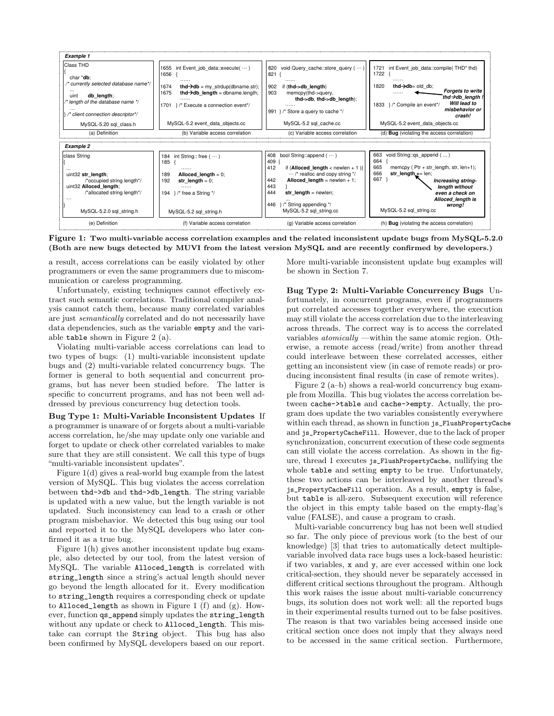

Figure 1: Two multi-variable access correlation examples and the related inconsistent update bugs from MySQL-5.2.0 (Both are new bugs detected by MUVI from the latest version MySQL and are recently confirmed by developers.)

a result, access correlations can be easily violated by other programmers or even the same programmers due to miscommunication or careless programming.

Unfortunately, existing techniques cannot effectively extract such semantic correlations. Traditional compiler analysis cannot catch them, because many correlated variables are just semantically correlated and do not necessarily have data dependencies, such as the variable empty and the variable table shown in Figure 2 (a).

Violating multi-variable access correlations can lead to two types of bugs: (1) multi-variable inconsistent update bugs and (2) multi-variable related concurrency bugs. The former is general to both sequential and concurrent programs, but has never been studied before. The latter is specific to concurrent programs, and has not been well addressed by previous concurrency bug detection tools.

Bug Type 1: Multi-Variable Inconsistent Updates If a programmer is unaware of or forgets about a multi-variable access correlation, he/she may update only one variable and forget to update or check other correlated variables to make sure that they are still consistent. We call this type of bugs "multi-variable inconsistent updates".

Figure 1(d) gives a real-world bug example from the latest version of MySQL. This bug violates the access correlation between thd->db and thd->db\_length. The string variable is updated with a new value, but the length variable is not updated. Such inconsistency can lead to a crash or other program misbehavior. We detected this bug using our tool and reported it to the MySQL developers who later confirmed it as a true bug.

Figure 1(h) gives another inconsistent update bug example, also detected by our tool, from the latest version of MySQL. The variable Alloced\_length is correlated with string\_length since a string's actual length should never go beyond the length allocated for it. Every modification to string\_length requires a corresponding check or update to Alloced\_length as shown in Figure 1 (f) and (g). However, function qs\_append simply updates the string\_length without any update or check to Alloced\_length. This mistake can corrupt the String object. This bug has also been confirmed by MySQL developers based on our report.

More multi-variable inconsistent update bug examples will be shown in Section 7.

Bug Type 2: Multi-Variable Concurrency Bugs Unfortunately, in concurrent programs, even if programmers put correlated accesses together everywhere, the execution may still violate the access correlation due to the interleaving across threads. The correct way is to access the correlated variables atomically —within the same atomic region. Otherwise, a remote access (read/write) from another thread could interleave between these correlated accesses, either getting an inconsistent view (in case of remote reads) or producing inconsistent final results (in case of remote writes).

Figure 2 (a–b) shows a real-world concurrency bug example from Mozilla. This bug violates the access correlation between cache->table and cache->empty. Actually, the program does update the two variables consistently everywhere within each thread, as shown in function js\_FlushPropertyCache and js\_PropertyCacheFill. However, due to the lack of proper synchronization, concurrent execution of these code segments can still violate the access correlation. As shown in the figure, thread 1 executes js\_FlushPropertyCache, nullifying the whole table and setting empty to be true. Unfortunately, these two actions can be interleaved by another thread's js\_PropertyCacheFill operation. As a result, empty is false, but table is all-zero. Subsequent execution will reference the object in this empty table based on the empty-flag's value (FALSE), and cause a program to crash.

Multi-variable concurrency bug has not been well studied so far. The only piece of previous work (to the best of our knowledge) [3] that tries to automatically detect multiplevariable involved data race bugs uses a lock-based heuristic: if two variables, x and y, are ever accessed within one lock critical-section, they should never be separately accessed in different critical sections throughout the program. Although this work raises the issue about multi-variable concurrency bugs, its solution does not work well: all the reported bugs in their experimental results turned out to be false positives. The reason is that two variables being accessed inside one critical section once does not imply that they always need to be accessed in the same critical section. Furthermore,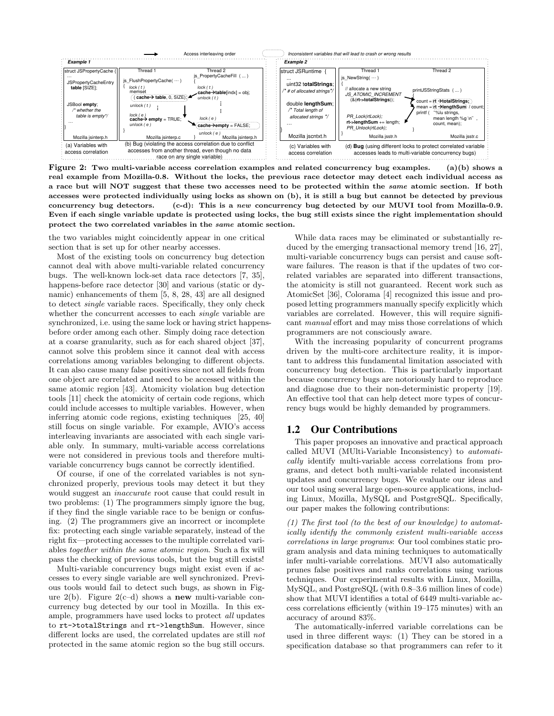

Figure 2: Two multi-variable access correlation examples and related concurrency bug examples. (a)(b) shows a real example from Mozilla-0.8. Without the locks, the previous race detector may detect each individual access as a race but will NOT suggest that these two accesses need to be protected within the same atomic section. If both accesses were protected individually using locks as shown on (b), it is still a bug but cannot be detected by previous concurrency bug detectors. (c-d): This is a new concurrency bug detected by our MUVI tool from Mozilla-0.9. Even if each single variable update is protected using locks, the bug still exists since the right implementation should protect the two correlated variables in the same atomic section.

the two variables might coincidently appear in one critical section that is set up for other nearby accesses.

Most of the existing tools on concurrency bug detection cannot deal with above multi-variable related concurrency bugs. The well-known lock-set data race detectors [7, 35], happens-before race detector [30] and various (static or dynamic) enhancements of them [5, 8, 28, 43] are all designed to detect single variable races. Specifically, they only check whether the concurrent accesses to each *single* variable are synchronized, i.e. using the same lock or having strict happensbefore order among each other. Simply doing race detection at a coarse granularity, such as for each shared object [37], cannot solve this problem since it cannot deal with access correlations among variables belonging to different objects. It can also cause many false positives since not all fields from one object are correlated and need to be accessed within the same atomic region [43]. Atomicity violation bug detection tools [11] check the atomicity of certain code regions, which could include accesses to multiple variables. However, when inferring atomic code regions, existing techniques [25, 40] still focus on single variable. For example, AVIO's access interleaving invariants are associated with each single variable only. In summary, multi-variable access correlations were not considered in previous tools and therefore multivariable concurrency bugs cannot be correctly identified.

Of course, if one of the correlated variables is not synchronized properly, previous tools may detect it but they would suggest an inaccurate root cause that could result in two problems: (1) The programmers simply ignore the bug, if they find the single variable race to be benign or confusing. (2) The programmers give an incorrect or incomplete fix: protecting each single variable separately, instead of the right fix—protecting accesses to the multiple correlated variables together within the same atomic region. Such a fix will pass the checking of previous tools, but the bug still exists!

Multi-variable concurrency bugs might exist even if accesses to every single variable are well synchronized. Previous tools would fail to detect such bugs, as shown in Figure 2(b). Figure 2(c–d) shows a **new** multi-variable concurrency bug detected by our tool in Mozilla. In this example, programmers have used locks to protect all updates to rt->totalStrings and rt->lengthSum. However, since different locks are used, the correlated updates are still not protected in the same atomic region so the bug still occurs.

While data races may be eliminated or substantially reduced by the emerging transactional memory trend [16, 27], multi-variable concurrency bugs can persist and cause software failures. The reason is that if the updates of two correlated variables are separated into different transactions, the atomicity is still not guaranteed. Recent work such as AtomicSet [36], Colorama [4] recognized this issue and proposed letting programmers manually specify explicitly which variables are correlated. However, this will require significant manual effort and may miss those correlations of which programmers are not consciously aware.

With the increasing popularity of concurrent programs driven by the multi-core architecture reality, it is important to address this fundamental limitation associated with concurrency bug detection. This is particularly important because concurrency bugs are notoriously hard to reproduce and diagnose due to their non-deterministic property [19]. An effective tool that can help detect more types of concurrency bugs would be highly demanded by programmers.

## **1.2 Our Contributions**

This paper proposes an innovative and practical approach called MUVI (MUlti-Variable Inconsistency) to automatically identify multi-variable access correlations from programs, and detect both multi-variable related inconsistent updates and concurrency bugs. We evaluate our ideas and our tool using several large open-source applications, including Linux, Mozilla, MySQL and PostgreSQL. Specifically, our paper makes the following contributions:

(1) The first tool (to the best of our knowledge) to automatically identify the commonly existent multi-variable access correlations in large programs: Our tool combines static program analysis and data mining techniques to automatically infer multi-variable correlations. MUVI also automatically prunes false positives and ranks correlations using various techniques. Our experimental results with Linux, Mozilla, MySQL, and PostgreSQL (with 0.8–3.6 million lines of code) show that MUVI identifies a total of 6449 multi-variable access correlations efficiently (within 19–175 minutes) with an accuracy of around 83%.

The automatically-inferred variable correlations can be used in three different ways: (1) They can be stored in a specification database so that programmers can refer to it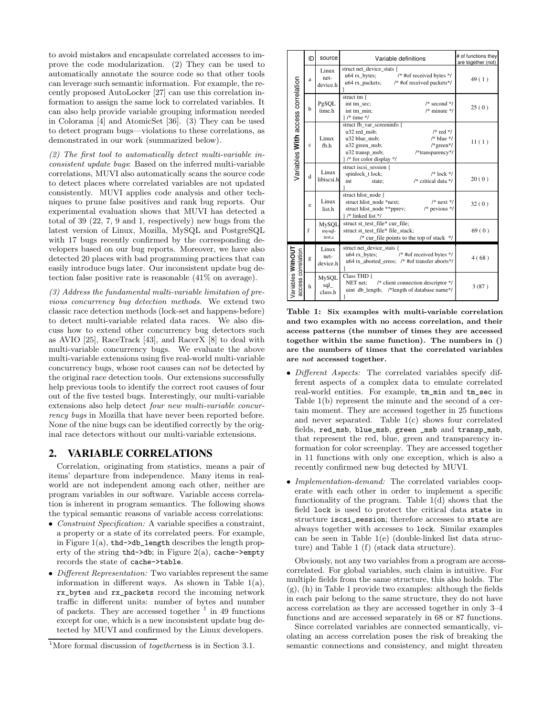to avoid mistakes and encapsulate correlated accesses to improve the code modularization. (2) They can be used to automatically annotate the source code so that other tools can leverage such semantic information. For example, the recently proposed AutoLocker [27] can use this correlation information to assign the same lock to correlated variables. It can also help provide variable grouping information needed in Colorama [4] and AtomicSet [36]. (3) They can be used to detect program bugs—violations to these correlations, as demonstrated in our work (summarized below).

(2) The first tool to automatically detect multi-variable inconsistent update bugs: Based on the inferred multi-variable correlations, MUVI also automatically scans the source code to detect places where correlated variables are not updated consistently. MUVI applies code analysis and other techniques to prune false positives and rank bug reports. Our experimental evaluation shows that MUVI has detected a total of 39 (22, 7, 9 and 1, respectively) new bugs from the latest version of Linux, Mozilla, MySQL and PostgreSQL with 17 bugs recently confirmed by the corresponding developers based on our bug reports. Moreover, we have also detected 20 places with bad programming practices that can easily introduce bugs later. Our inconsistent update bug detection false positive rate is reasonable (41% on average).

(3) Address the fundamental multi-variable limitation of previous concurrency bug detection methods. We extend two classic race detection methods (lock-set and happens-before) to detect multi-variable related data races. We also discuss how to extend other concurrency bug detectors such as AVIO [25], RaceTrack [43], and RacerX [8] to deal with multi-variable concurrency bugs. We evaluate the above multi-variable extensions using five real-world multi-variable concurrency bugs, whose root causes can not be detected by the original race detection tools. Our extensions successfully help previous tools to identify the correct root causes of four out of the five tested bugs. Interestingly, our multi-variable extensions also help detect four new multi-variable concurrency bugs in Mozilla that have never been reported before. None of the nine bugs can be identified correctly by the original race detectors without our multi-variable extensions.

# **2. VARIABLE CORRELATIONS**

Correlation, originating from statistics, means a pair of items' departure from independence. Many items in realworld are not independent among each other, neither are program variables in our software. Variable access correlation is inherent in program semantics. The following shows the typical semantic reasons of variable access correlations:

- Constraint Specification: A variable specifies a constraint, a property or a state of its correlated peers. For example, in Figure  $1(a)$ , thd- $\rightarrow$ db\_length describes the length property of the string thd->db; in Figure 2(a), cache->empty records the state of cache->table.
- Different Representation: Two variables represent the same information in different ways. As shown in Table 1(a), rx\_bytes and rx\_packets record the incoming network traffic in different units: number of bytes and number of packets. They are accessed together  $1$  in 49 functions except for one, which is a new inconsistent update bug detected by MUVI and confirmed by the Linux developers.

|                                        | ID           | source                    | Variable definitions                                                                                                                                                                                 | # of functions they<br>are together (not) |
|----------------------------------------|--------------|---------------------------|------------------------------------------------------------------------------------------------------------------------------------------------------------------------------------------------------|-------------------------------------------|
| Variables With access correlation      | a            | Linux<br>net-<br>device.h | struct net device stats {<br>/* #of received bytes */<br>$u64$ rx bytes;<br>u64 rx_packets; /* #of received packets*/                                                                                | 49(1)                                     |
|                                        | $\mathbf b$  | PgSQL<br>time.h           | struct $tm \{$<br>$/*$ second $*/$<br>int tm sec;<br>$/*$ minute $*/$<br>int tm min;<br>$\}$ /* time */                                                                                              | 25(0)                                     |
|                                        | $\mathbf{c}$ | Linux<br>fb.h             | struct fb var screeninfo {<br>$/*$ red $*/$<br>u32 red msb;<br>u32 blue msb;<br>$/*$ blue $*/$<br>u32 green msb;<br>$/*$ green*/<br>u32 transp msb;<br>/*transparency*/<br>} /* for color display */ | 11(1)                                     |
|                                        | $\mathbf d$  | Linux<br>libiscsi.h       | struct iscsi session {<br>spinlock t lock;<br>$/*$ lock $*/$<br>/* critical data */<br>int<br>state;                                                                                                 | 20(0)                                     |
|                                        | e            | Linux<br>list.h           | struct hlist_node {<br>struct hlist node *next;<br>$/*$ next $*/$<br>/* pevious $*/$<br>struct hlist_node **pprev;<br>}/* linked list */                                                             | 32(0)                                     |
|                                        | f            | MySQL<br>mysql-<br>test.c | struct st test file* cur file;<br>struct st test file* file stack;<br>/* cur_file points to the top of stack */                                                                                      | 69(0)                                     |
| Variables WithOU<br>access correlation | g            | Linux<br>net-<br>device.h | struct net device stats {<br>$u64$ rx bytes; $/$ #of received bytes */<br>u64 tx aborted erros; /* #of transfer aborts*/                                                                             | 4(68)                                     |
|                                        | h            | MySQL<br>sql_<br>class.h  | Class THD {<br>NET net; /* client connection descriptor */<br>uint db length; /*length of database name*/                                                                                            | 3(87)                                     |

Table 1: Six examples with multi-variable correlation and two examples with no access correlation, and their access patterns (the number of times they are accessed together within the same function). The numbers in () are the numbers of times that the correlated variables are not accessed together.

- Different Aspects: The correlated variables specify different aspects of a complex data to emulate correlated real-world entities. For example, tm\_min and tm\_sec in Table 1(b) represent the minute and the second of a certain moment. They are accessed together in 25 functions and never separated. Table 1(c) shows four correlated fields, red\_msb, blue\_msb, green \_msb and transp\_msb, that represent the red, blue, green and transparency information for color screenplay. They are accessed together in 11 functions with only one exception, which is also a recently confirmed new bug detected by MUVI.
- Implementation-demand: The correlated variables cooperate with each other in order to implement a specific functionality of the program. Table 1(d) shows that the field lock is used to protect the critical data state in structure iscsi\_session; therefore accesses to state are always together with accesses to lock. Similar examples can be seen in Table 1(e) (double-linked list data structure) and Table 1 (f) (stack data structure).

Obviously, not any two variables from a program are accesscorrelated. For global variables, such claim is intuitive. For multiple fields from the same structure, this also holds. The  $(g)$ ,  $(h)$  in Table 1 provide two examples: although the fields in each pair belong to the same structure, they do not have access correlation as they are accessed together in only 3–4 functions and are accessed separately in 68 or 87 functions.

Since correlated variables are connected semantically, violating an access correlation poses the risk of breaking the semantic connections and consistency, and might threaten

<sup>&</sup>lt;sup>1</sup>More formal discussion of *togetherness* is in Section 3.1.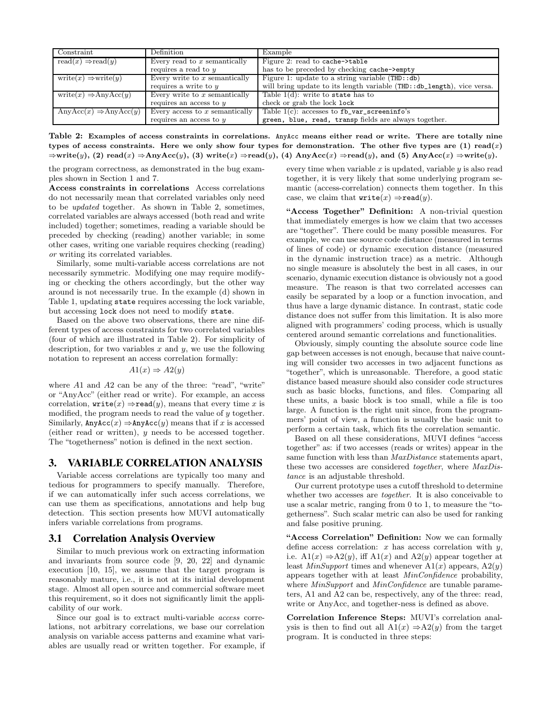| Constraint                                      | Definition                       | Example                                                                |  |  |
|-------------------------------------------------|----------------------------------|------------------------------------------------------------------------|--|--|
| read $(x) \Rightarrow$ read $(y)$               | Every read to $x$ semantically   | Figure 2: read to cache->table                                         |  |  |
|                                                 | requires a read to $y$           | has to be preceded by checking cache->empty                            |  |  |
| $write(x) \Rightarrow write(y)$                 | Every write to $x$ semantically  | Figure 1: update to a string variable $(THD::db)$                      |  |  |
|                                                 | requires a write to $y$          | will bring update to its length variable (THD::db_length), vice versa. |  |  |
| $\text{write}(x) \Rightarrow \text{AnyAcc}(y)$  | Every write to $x$ semantically  | Table $1(d)$ : write to state has to                                   |  |  |
|                                                 | requires an access to $y$        | check or grab the lock lock                                            |  |  |
| $\text{AnyAcc}(x) \Rightarrow \text{AnyAcc}(y)$ | Every access to $x$ semantically | Table $1(c)$ : accesses to fb_var_screeninfo's                         |  |  |
|                                                 | requires an access to $\eta$     | green, blue, read, transp fields are always together.                  |  |  |

Table 2: Examples of access constraints in correlations. Any Acc means either read or write. There are totally nine types of access constraints. Here we only show four types for demonstration. The other five types are  $(1)$  read $(x)$  $\Rightarrow$ write(y), (2) read(x)  $\Rightarrow$ AnyAcc(y), (3) write(x)  $\Rightarrow$ read(y), (4) AnyAcc(x)  $\Rightarrow$ read(y), and (5) AnyAcc(x)  $\Rightarrow$ write(y).

the program correctness, as demonstrated in the bug examples shown in Section 1 and 7.

Access constraints in correlations Access correlations do not necessarily mean that correlated variables only need to be updated together. As shown in Table 2, sometimes, correlated variables are always accessed (both read and write included) together; sometimes, reading a variable should be preceded by checking (reading) another variable; in some other cases, writing one variable requires checking (reading) or writing its correlated variables.

Similarly, some multi-variable access correlations are not necessarily symmetric. Modifying one may require modifying or checking the others accordingly, but the other way around is not necessarily true. In the example (d) shown in Table 1, updating state requires accessing the lock variable, but accessing lock does not need to modify state.

Based on the above two observations, there are nine different types of access constraints for two correlated variables (four of which are illustrated in Table 2). For simplicity of description, for two variables  $x$  and  $y$ , we use the following notation to represent an access correlation formally:

$$
A1(x) \Rightarrow A2(y)
$$

where  $A1$  and  $A2$  can be any of the three: "read", "write" or "AnyAcc" (either read or write). For example, an access correlation,  $write(x) \Rightarrow read(y)$ , means that every time x is modified, the program needs to read the value of y together. Similarly,  $\text{AnyAcc}(x) \Rightarrow \text{AnyAcc}(y)$  means that if x is accessed (either read or written), y needs to be accessed together. The "togetherness" notion is defined in the next section.

## **3. VARIABLE CORRELATION ANALYSIS**

Variable access correlations are typically too many and tedious for programmers to specify manually. Therefore, if we can automatically infer such access correlations, we can use them as specifications, annotations and help bug detection. This section presents how MUVI automatically infers variable correlations from programs.

## **3.1 Correlation Analysis Overview**

Similar to much previous work on extracting information and invariants from source code [9, 20, 22] and dynamic execution [10, 15], we assume that the target program is reasonably mature, i.e., it is not at its initial development stage. Almost all open source and commercial software meet this requirement, so it does not significantly limit the applicability of our work.

Since our goal is to extract multi-variable access correlations, not arbitrary correlations, we base our correlation analysis on variable access patterns and examine what variables are usually read or written together. For example, if

every time when variable  $x$  is updated, variable  $y$  is also read together, it is very likely that some underlying program semantic (access-correlation) connects them together. In this case, we claim that  $write(x) \Rightarrow read(y)$ .

"Access Together" Definition: A non-trivial question that immediately emerges is how we claim that two accesses are "together". There could be many possible measures. For example, we can use source code distance (measured in terms of lines of code) or dynamic execution distance (measured in the dynamic instruction trace) as a metric. Although no single measure is absolutely the best in all cases, in our scenario, dynamic execution distance is obviously not a good measure. The reason is that two correlated accesses can easily be separated by a loop or a function invocation, and thus have a large dynamic distance. In contrast, static code distance does not suffer from this limitation. It is also more aligned with programmers' coding process, which is usually centered around semantic correlations and functionalities.

Obviously, simply counting the absolute source code line gap between accesses is not enough, because that naive counting will consider two accesses in two adjacent functions as "together", which is unreasonable. Therefore, a good static distance based measure should also consider code structures such as basic blocks, functions, and files. Comparing all these units, a basic block is too small, while a file is too large. A function is the right unit since, from the programmers' point of view, a function is usually the basic unit to perform a certain task, which fits the correlation semantic.

Based on all these considerations, MUVI defines "access together" as: if two accesses (reads or writes) appear in the same function with less than MaxDistance statements apart, these two accesses are considered together, where MaxDistance is an adjustable threshold.

Our current prototype uses a cutoff threshold to determine whether two accesses are *together*. It is also conceivable to use a scalar metric, ranging from 0 to 1, to measure the "togetherness". Such scalar metric can also be used for ranking and false positive pruning.

"Access Correlation" Definition: Now we can formally define access correlation:  $x$  has access correlation with  $y$ , i.e.  $A1(x) \Rightarrow A2(y)$ , iff  $A1(x)$  and  $A2(y)$  appear together at least *MinSupport* times and whenever  $A1(x)$  appears,  $A2(y)$ appears together with at least MinConfidence probability, where *MinSupport* and *MinConfidence* are tunable parameters, A1 and A2 can be, respectively, any of the three: read, write or AnyAcc, and together-ness is defined as above.

Correlation Inference Steps: MUVI's correlation analysis is then to find out all  $A1(x) \Rightarrow A2(y)$  from the target program. It is conducted in three steps: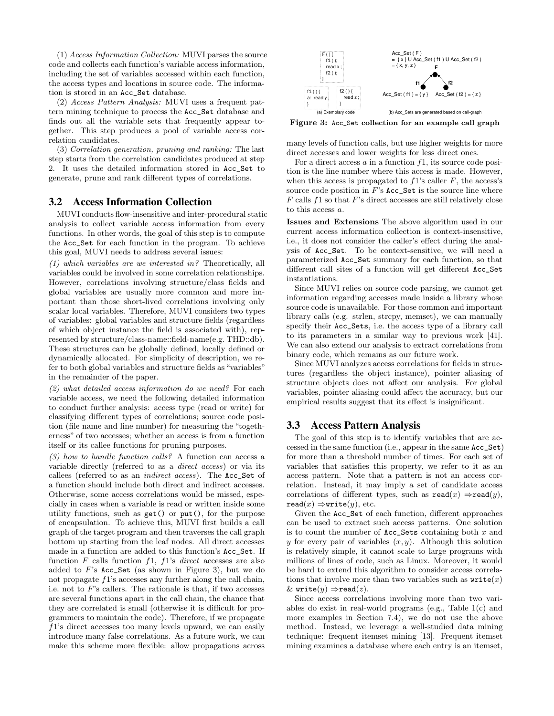(1) Access Information Collection: MUVI parses the source code and collects each function's variable access information, including the set of variables accessed within each function, the access types and locations in source code. The information is stored in an Acc\_Set database.

(2) Access Pattern Analysis: MUVI uses a frequent pattern mining technique to process the Acc\_Set database and finds out all the variable sets that frequently appear together. This step produces a pool of variable access correlation candidates.

(3) Correlation generation, pruning and ranking: The last step starts from the correlation candidates produced at step 2. It uses the detailed information stored in Acc\_Set to generate, prune and rank different types of correlations.

#### **3.2 Access Information Collection**

MUVI conducts flow-insensitive and inter-procedural static analysis to collect variable access information from every functions. In other words, the goal of this step is to compute the Acc\_Set for each function in the program. To achieve this goal, MUVI needs to address several issues:

(1) which variables are we interested in? Theoretically, all variables could be involved in some correlation relationships. However, correlations involving structure/class fields and global variables are usually more common and more important than those short-lived correlations involving only scalar local variables. Therefore, MUVI considers two types of variables: global variables and structure fields (regardless of which object instance the field is associated with), represented by structure/class-name::field-name(e.g. THD::db). These structures can be globally defined, locally defined or dynamically allocated. For simplicity of description, we refer to both global variables and structure fields as "variables" in the remainder of the paper.

(2) what detailed access information do we need? For each variable access, we need the following detailed information to conduct further analysis: access type (read or write) for classifying different types of correlations; source code position (file name and line number) for measuring the "togetherness" of two accesses; whether an access is from a function itself or its callee functions for pruning purposes.

(3) how to handle function calls? A function can access a variable directly (referred to as a direct access) or via its callees (referred to as an indirect access). The Acc\_Set of a function should include both direct and indirect accesses. Otherwise, some access correlations would be missed, especially in cases when a variable is read or written inside some utility functions, such as get() or put(), for the purpose of encapsulation. To achieve this, MUVI first builds a call graph of the target program and then traverses the call graph bottom up starting from the leaf nodes. All direct accesses made in a function are added to this function's Acc\_Set. If function  $F$  calls function  $f_1$ ,  $f_1$ 's *direct* accesses are also added to  $F$ 's Acc\_Set (as shown in Figure 3), but we do not propagate  $f_1$ 's accesses any further along the call chain, i.e. not to  $F$ 's callers. The rationale is that, if two accesses are several functions apart in the call chain, the chance that they are correlated is small (otherwise it is difficult for programmers to maintain the code). Therefore, if we propagate  $f1$ 's direct accesses too many levels upward, we can easily introduce many false correlations. As a future work, we can make this scheme more flexible: allow propagations across



Figure 3: Acc\_Set collection for an example call graph

many levels of function calls, but use higher weights for more direct accesses and lower weights for less direct ones.

For a direct access  $a$  in a function  $f_1$ , its source code position is the line number where this access is made. However, when this access is propagated to  $f_1$ 's caller  $F$ , the access's source code position in  $F$ 's Acc\_Set is the source line where  $F$  calls  $f_1$  so that  $F$ 's direct accesses are still relatively close to this access a.

Issues and Extensions The above algorithm used in our current access information collection is context-insensitive, i.e., it does not consider the caller's effect during the analysis of Acc\_Set. To be context-sensitive, we will need a parameterized Acc\_Set summary for each function, so that different call sites of a function will get different Acc\_Set instantiations.

Since MUVI relies on source code parsing, we cannot get information regarding accesses made inside a library whose source code is unavailable. For those common and important library calls (e.g. strlen, strcpy, memset), we can manually specify their Acc\_Sets, i.e. the access type of a library call to its parameters in a similar way to previous work [41]. We can also extend our analysis to extract correlations from binary code, which remains as our future work.

Since MUVI analyzes access correlations for fields in structures (regardless the object instance), pointer aliasing of structure objects does not affect our analysis. For global variables, pointer aliasing could affect the accuracy, but our empirical results suggest that its effect is insignificant.

# **3.3 Access Pattern Analysis**

The goal of this step is to identify variables that are accessed in the same function (i.e., appear in the same Acc\_Set) for more than a threshold number of times. For each set of variables that satisfies this property, we refer to it as an access pattern. Note that a pattern is not an access correlation. Instead, it may imply a set of candidate access correlations of different types, such as  $\text{read}(x) \Rightarrow \text{read}(y)$ , read $(x) \Rightarrow$ write $(y)$ , etc.

Given the Acc\_Set of each function, different approaches can be used to extract such access patterns. One solution is to count the number of  $Acc$ -Sets containing both  $x$  and y for every pair of variables  $(x, y)$ . Although this solution is relatively simple, it cannot scale to large programs with millions of lines of code, such as Linux. Moreover, it would be hard to extend this algorithm to consider access correlations that involve more than two variables such as  $write(x)$ & write $(y) \Rightarrow$ read $(z)$ .

Since access correlations involving more than two variables do exist in real-world programs (e.g., Table 1(c) and more examples in Section 7.4), we do not use the above method. Instead, we leverage a well-studied data mining technique: frequent itemset mining [13]. Frequent itemset mining examines a database where each entry is an itemset,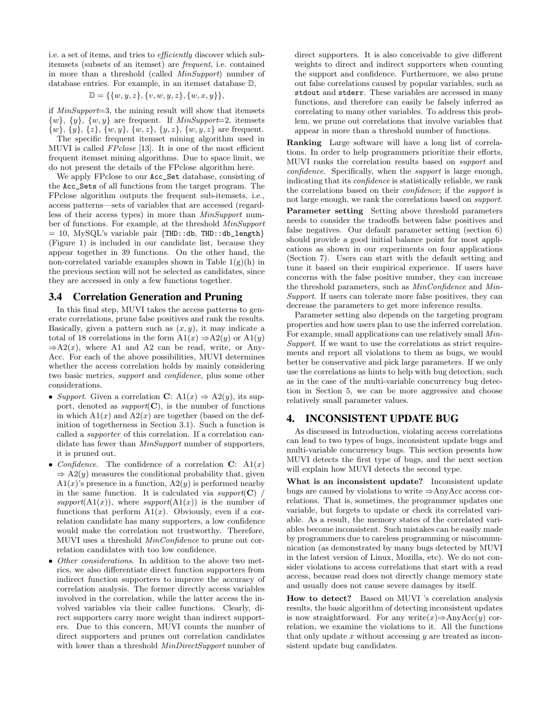i.e. a set of items, and tries to efficiently discover which subitemsets (subsets of an itemset) are frequent, i.e. contained in more than a threshold (called MinSupport) number of database entries. For example, in an itemset database D,

$$
\mathbb{D} = \{\{w, y, z\}, \{v, w, y, z\}, \{w, x, y\}\},\
$$

if MinSupport=3, the mining result will show that itemsets  ${w}$ ,  ${y}$ ,  ${w, y}$  are frequent. If *MinSupport*=2, itemsets  ${w}$ ,  ${y}$ ,  ${z}$ ,  ${w, y}$ ,  ${w, z}$ ,  ${y, z}$ ,  ${w, y, z}$  are frequent.

The specific frequent itemset mining algorithm used in MUVI is called FPclose [13]. It is one of the most efficient frequent itemset mining algorithms. Due to space limit, we do not present the details of the FPclose algorithm here.

We apply FPclose to our Acc\_Set database, consisting of the Acc\_Sets of all functions from the target program. The FPclose algorithm outputs the frequent sub-itemsets, i.e., access patterns—sets of variables that are accessed (regardless of their access types) in more than MinSupport number of functions. For example, at the threshold MinSupport  $= 10$ , MySQL's variable pair {THD::db, THD::db\_length} (Figure 1) is included in our candidate list, because they appear together in 39 functions. On the other hand, the non-correlated variable examples shown in Table  $1(g)(h)$  in the previous section will not be selected as candidates, since they are accessed in only a few functions together.

## **3.4 Correlation Generation and Pruning**

In this final step, MUVI takes the access patterns to generate correlations, prune false positives and rank the results. Basically, given a pattern such as  $(x, y)$ , it may indicate a total of 18 correlations in the form  $A1(x) \Rightarrow A2(y)$  or  $A1(y)$  $\Rightarrow$ A2(x), where A1 and A2 can be read, write, or Any-Acc. For each of the above possibilities, MUVI determines whether the access correlation holds by mainly considering two basic metrics, support and confidence, plus some other considerations.

- Support. Given a correlation C:  $A1(x) \Rightarrow A2(y)$ , its support, denoted as  $support(C)$ , is the number of functions in which  $A1(x)$  and  $A2(x)$  are together (based on the definition of togetherness in Section 3.1). Such a function is called a supporter of this correlation. If a correlation candidate has fewer than MinSupport number of supporters, it is pruned out.
- Confidence. The confidence of a correlation  $C: A1(x)$  $\Rightarrow$  A2(y) measures the conditional probability that, given  $A1(x)$ 's presence in a function,  $A2(y)$  is performed nearby in the same function. It is calculated via support( $\bf{C}$ ) / support( $A1(x)$ ), where support( $A1(x)$ ) is the number of functions that perform  $A1(x)$ . Obviously, even if a correlation candidate has many supporters, a low confidence would make the correlation not trustworthy. Therefore, MUVI uses a threshold MinConfidence to prune out correlation candidates with too low confidence.
- Other considerations. In addition to the above two metrics, we also differentiate direct function supporters from indirect function supporters to improve the accuracy of correlation analysis. The former directly access variables involved in the correlation, while the latter access the involved variables via their callee functions. Clearly, direct supporters carry more weight than indirect supporters. Due to this concern, MUVI counts the number of direct supporters and prunes out correlation candidates with lower than a threshold  $MinDirectSupport$  number of

direct supporters. It is also conceivable to give different weights to direct and indirect supporters when counting the support and confidence. Furthermore, we also prune out false correlations caused by popular variables, such as stdout and stderr. These variables are accessed in many functions, and therefore can easily be falsely inferred as correlating to many other variables. To address this problem, we prune out correlations that involve variables that appear in more than a threshold number of functions.

Ranking Large software will have a long list of correlations. In order to help programmers prioritize their efforts, MUVI ranks the correlation results based on support and confidence. Specifically, when the support is large enough, indicating that its confidence is statistically reliable, we rank the correlations based on their confidence; if the support is not large enough, we rank the correlations based on support.

Parameter setting Setting above threshold parameters needs to consider the tradeoffs between false positives and false negatives. Our default parameter setting (section 6) should provide a good initial balance point for most applications as shown in our experiments on four applications (Section 7). Users can start with the default setting and tune it based on their empirical experience. If users have concerns with the false positive number, they can increase the threshold parameters, such as MinConfidence and Min-Support. If users can tolerate more false positives, they can decrease the parameters to get more inference results.

Parameter setting also depends on the targeting program properties and how users plan to use the inferred correlation. For example, small applications can use relatively small Min-Support. If we want to use the correlations as strict requirements and report all violations to them as bugs, we would better be conservative and pick large parameters. If we only use the correlations as hints to help with bug detection, such as in the case of the multi-variable concurrency bug detection in Section 5, we can be more aggressive and choose relatively small parameter values.

# **4. INCONSISTENT UPDATE BUG**

As discussed in Introduction, violating access correlations can lead to two types of bugs, inconsistent update bugs and multi-variable concurrency bugs. This section presents how MUVI detects the first type of bugs, and the next section will explain how MUVI detects the second type.

What is an inconsistent update? Inconsistent update bugs are caused by violations to write ⇒AnyAcc access correlations. That is, sometimes, the programmer updates one variable, but forgets to update or check its correlated variable. As a result, the memory states of the correlated variables become inconsistent. Such mistakes can be easily made by programmers due to careless programming or miscommunication (as demonstrated by many bugs detected by MUVI in the latest version of Linux, Mozilla, etc). We do not consider violations to access correlations that start with a read access, because read does not directly change memory state and usually does not cause severe damages by itself.

How to detect? Based on MUVI 's correlation analysis results, the basic algorithm of detecting inconsistent updates is now straightforward. For any write $(x) \Rightarrow \text{AnyAcc}(y)$  correlation, we examine the violations to it. All the functions that only update  $x$  without accessing  $y$  are treated as inconsistent update bug candidates.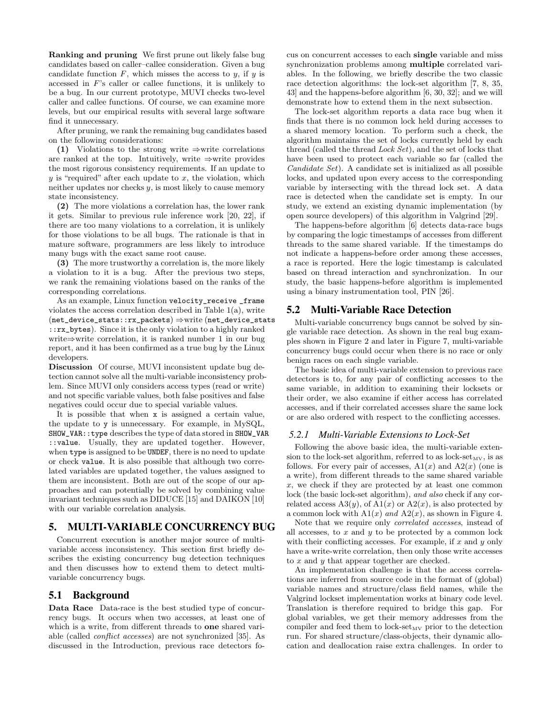Ranking and pruning We first prune out likely false bug candidates based on caller–callee consideration. Given a bug candidate function  $F$ , which misses the access to  $y$ , if  $y$  is accessed in F's caller or callee functions, it is unlikely to be a bug. In our current prototype, MUVI checks two-level caller and callee functions. Of course, we can examine more levels, but our empirical results with several large software find it unnecessary.

After pruning, we rank the remaining bug candidates based on the following considerations:

(1) Violations to the strong write  $\Rightarrow$  write correlations are ranked at the top. Intuitively, write ⇒write provides the most rigorous consistency requirements. If an update to  $y$  is "required" after each update to  $x$ , the violation, which neither updates nor checks  $y$ , is most likely to cause memory state inconsistency.

(2) The more violations a correlation has, the lower rank it gets. Similar to previous rule inference work [20, 22], if there are too many violations to a correlation, it is unlikely for those violations to be all bugs. The rationale is that in mature software, programmers are less likely to introduce many bugs with the exact same root cause.

(3) The more trustworthy a correlation is, the more likely a violation to it is a bug. After the previous two steps, we rank the remaining violations based on the ranks of the corresponding correlations.

As an example, Linux function velocity\_receive \_frame violates the access correlation described in Table 1(a), write (net\_device\_stats::rx\_packets) ⇒write (net\_device\_stats ::rx\_bytes). Since it is the only violation to a highly ranked write⇒write correlation, it is ranked number 1 in our bug report, and it has been confirmed as a true bug by the Linux developers.

Discussion Of course, MUVI inconsistent update bug detection cannot solve all the multi-variable inconsistency problem. Since MUVI only considers access types (read or write) and not specific variable values, both false positives and false negatives could occur due to special variable values.

It is possible that when x is assigned a certain value, the update to y is unnecessary. For example, in MySQL, SHOW\_VAR::type describes the type of data stored in SHOW\_VAR ::value. Usually, they are updated together. However, when type is assigned to be UNDEF, there is no need to update or check value. It is also possible that although two correlated variables are updated together, the values assigned to them are inconsistent. Both are out of the scope of our approaches and can potentially be solved by combining value invariant techniques such as DIDUCE [15] and DAIKON [10] with our variable correlation analysis.

# **5. MULTI-VARIABLE CONCURRENCY BUG**

Concurrent execution is another major source of multivariable access inconsistency. This section first briefly describes the existing concurrency bug detection techniques and then discusses how to extend them to detect multivariable concurrency bugs.

# **5.1 Background**

Data Race Data-race is the best studied type of concurrency bugs. It occurs when two accesses, at least one of which is a write, from different threads to one shared variable (called conflict accesses) are not synchronized [35]. As discussed in the Introduction, previous race detectors focus on concurrent accesses to each single variable and miss synchronization problems among multiple correlated variables. In the following, we briefly describe the two classic race detection algorithms: the lock-set algorithm [7, 8, 35, 43] and the happens-before algorithm [6, 30, 32]; and we will demonstrate how to extend them in the next subsection.

The lock-set algorithm reports a data race bug when it finds that there is no common lock held during accesses to a shared memory location. To perform such a check, the algorithm maintains the set of locks currently held by each thread (called the thread Lock Set), and the set of locks that have been used to protect each variable so far (called the Candidate Set). A candidate set is initialized as all possible locks, and updated upon every access to the corresponding variable by intersecting with the thread lock set. A data race is detected when the candidate set is empty. In our study, we extend an existing dynamic implementation (by open source developers) of this algorithm in Valgrind [29].

The happens-before algorithm [6] detects data-race bugs by comparing the logic timestamps of accesses from different threads to the same shared variable. If the timestamps do not indicate a happens-before order among these accesses, a race is reported. Here the logic timestamp is calculated based on thread interaction and synchronization. In our study, the basic happens-before algorithm is implemented using a binary instrumentation tool, PIN [26].

#### **5.2 Multi-Variable Race Detection**

Multi-variable concurrency bugs cannot be solved by single variable race detection. As shown in the real bug examples shown in Figure 2 and later in Figure 7, multi-variable concurrency bugs could occur when there is no race or only benign races on each single variable.

The basic idea of multi-variable extension to previous race detectors is to, for any pair of conflicting accesses to the same variable, in addition to examining their locksets or their order, we also examine if either access has correlated accesses, and if their correlated accesses share the same lock or are also ordered with respect to the conflicting accesses.

#### *5.2.1 Multi-Variable Extensions to Lock-Set*

Following the above basic idea, the multi-variable extension to the lock-set algorithm, referred to as lock-set<sub>MV</sub>, is as follows. For every pair of accesses,  $A1(x)$  and  $A2(x)$  (one is a write), from different threads to the same shared variable x, we check if they are protected by at least one common lock (the basic lock-set algorithm), and also check if any correlated access  $A3(y)$ , of  $A1(x)$  or  $A2(x)$ , is also protected by a common lock with  $A1(x)$  and  $A2(x)$ , as shown in Figure 4.

Note that we require only correlated accesses, instead of all accesses, to  $x$  and  $y$  to be protected by a common lock with their conflicting accesses. For example, if  $x$  and  $y$  only have a write-write correlation, then only those write accesses to  $x$  and  $y$  that appear together are checked.

An implementation challenge is that the access correlations are inferred from source code in the format of (global) variable names and structure/class field names, while the Valgrind lockset implementation works at binary code level. Translation is therefore required to bridge this gap. For global variables, we get their memory addresses from the compiler and feed them to lock-set<sub>MV</sub> prior to the detection run. For shared structure/class-objects, their dynamic allocation and deallocation raise extra challenges. In order to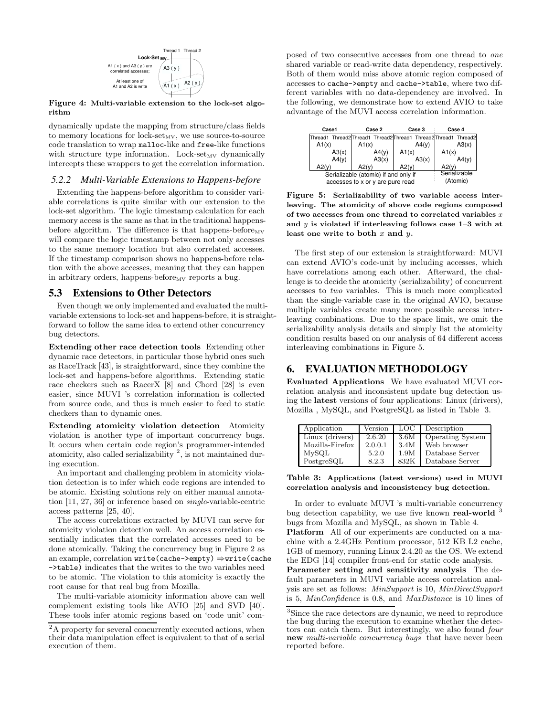

Figure 4: Multi-variable extension to the lock-set algorithm

dynamically update the mapping from structure/class fields to memory locations for lock-set<sub>MV</sub>, we use source-to-source code translation to wrap malloc-like and free-like functions with structure type information. Lock-set<sub>MV</sub> dynamically intercepts these wrappers to get the correlation information.

#### *5.2.2 Multi-Variable Extensions to Happens-before*

Extending the happens-before algorithm to consider variable correlations is quite similar with our extension to the lock-set algorithm. The logic timestamp calculation for each memory access is the same as that in the traditional happensbefore algorithm. The difference is that happens-before<sub>MV</sub> will compare the logic timestamp between not only accesses to the same memory location but also correlated accesses. If the timestamp comparison shows no happens-before relation with the above accesses, meaning that they can happen in arbitrary orders, happens-before<sub>MV</sub> reports a bug.

## **5.3 Extensions to Other Detectors**

Even though we only implemented and evaluated the multivariable extensions to lock-set and happens-before, it is straightforward to follow the same idea to extend other concurrency bug detectors.

Extending other race detection tools Extending other dynamic race detectors, in particular those hybrid ones such as RaceTrack [43], is straightforward, since they combine the lock-set and happens-before algorithms. Extending static race checkers such as RacerX [8] and Chord [28] is even easier, since MUVI 's correlation information is collected from source code, and thus is much easier to feed to static checkers than to dynamic ones.

Extending atomicity violation detection Atomicity violation is another type of important concurrency bugs. It occurs when certain code region's programmer-intended atomicity, also called serializability  $^2$ , is not maintained during execution.

An important and challenging problem in atomicity violation detection is to infer which code regions are intended to be atomic. Existing solutions rely on either manual annotation [11, 27, 36] or inference based on single-variable-centric access patterns [25, 40].

The access correlations extracted by MUVI can serve for atomicity violation detection well. An access correlation essentially indicates that the correlated accesses need to be done atomically. Taking the concurrency bug in Figure 2 as an example, correlation write(cache->empty) ⇒write(cache ->table) indicates that the writes to the two variables need to be atomic. The violation to this atomicity is exactly the root cause for that real bug from Mozilla.

The multi-variable atomicity information above can well complement existing tools like AVIO [25] and SVD [40]. These tools infer atomic regions based on 'code unit' composed of two consecutive accesses from one thread to one shared variable or read-write data dependency, respectively. Both of them would miss above atomic region composed of accesses to cache->empty and cache->table, where two different variables with no data-dependency are involved. In the following, we demonstrate how to extend AVIO to take advantage of the MUVI access correlation information.

| Case1 |                                      | Case 2                                                          | Case 3 | Case 4 |  |  |
|-------|--------------------------------------|-----------------------------------------------------------------|--------|--------|--|--|
|       |                                      | Thread1 Thread2 Thread1 Thread2 Thread1 Thread2 Thread1 Thread2 |        |        |  |  |
|       | A1(x)                                | A1(x)                                                           | A4(y)  | A3(x)  |  |  |
|       | A3(x)                                | A4(y)                                                           | A1(x)  | A1(x)  |  |  |
|       | A4(y)                                | A3(x)                                                           | A3(x)  | A4(y)  |  |  |
|       | A2(v)                                | A2(v)                                                           | A2(y)  | A2(v)  |  |  |
|       | Serializable (atomic) if and only if | Serializable                                                    |        |        |  |  |
|       | accesses to x or y are pure read     | (Atomic)                                                        |        |        |  |  |

Figure 5: Serializability of two variable access interleaving. The atomicity of above code regions composed of two accesses from one thread to correlated variables  $\boldsymbol{x}$ and y is violated if interleaving follows case 1–3 with at least one write to both  $x$  and  $y$ .

The first step of our extension is straightforward: MUVI can extend AVIO's code-unit by including accesses, which have correlations among each other. Afterward, the challenge is to decide the atomicity (serializability) of concurrent accesses to two variables. This is much more complicated than the single-variable case in the original AVIO, because multiple variables create many more possible access interleaving combinations. Due to the space limit, we omit the serializability analysis details and simply list the atomicity condition results based on our analysis of 64 different access interleaving combinations in Figure 5.

# **6. EVALUATION METHODOLOGY**

Evaluated Applications We have evaluated MUVI correlation analysis and inconsistent update bug detection using the latest versions of four applications: Linux (drivers), Mozilla , MySQL, and PostgreSQL as listed in Table 3.

| Application                       | Version | LOC  | Description             |
|-----------------------------------|---------|------|-------------------------|
| Linux (drivers)                   | 2.6.20  | 3.6M | <b>Operating System</b> |
| Mozilla-Firefox                   | 2.0.0.1 | 3.4M | Web browser             |
| MvSQL                             | 5.2.0   | 1.9M | Database Server         |
| Post <sub>gre</sub> <sub>QL</sub> | 8.2.3   | 832K | Database Server         |

Table 3: Applications (latest versions) used in MUVI correlation analysis and inconsistency bug detection.

In order to evaluate MUVI 's multi-variable concurrency bug detection capability, we use five known real-world  $3$ bugs from Mozilla and MySQL, as shown in Table 4. Platform All of our experiments are conducted on a machine with a 2.4GHz Pentium processor, 512 KB L2 cache, 1GB of memory, running Linux 2.4.20 as the OS. We extend the EDG [14] compiler front-end for static code analysis.

Parameter setting and sensitivity analysis The default parameters in MUVI variable access correlation analysis are set as follows: MinSupport is 10, MinDirectSupport is 5, MinConfidence is 0.8, and MaxDistance is 10 lines of

 $2A$  property for several concurrently executed actions, when their data manipulation effect is equivalent to that of a serial execution of them.

<sup>3</sup>Since the race detectors are dynamic, we need to reproduce the bug during the execution to examine whether the detectors can catch them. But interestingly, we also found four new *multi-variable concurrency bugs* that have never been reported before.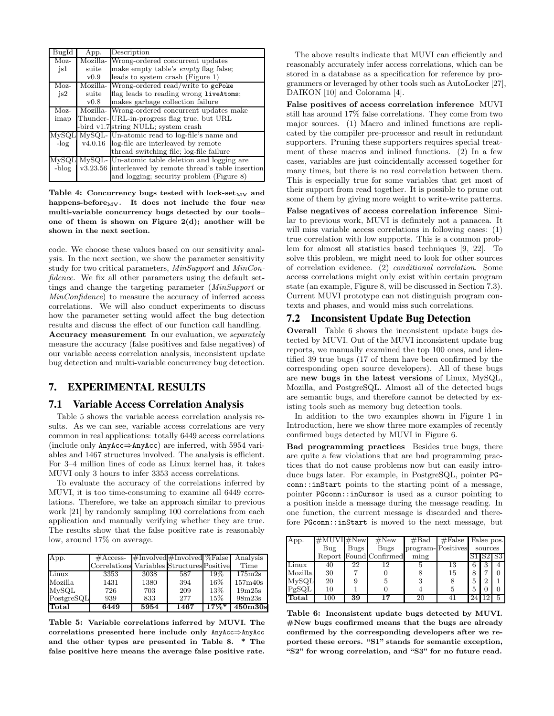| BugId   | App.     | Description                                             |
|---------|----------|---------------------------------------------------------|
| $Moz-$  | Mozilla- | Wrong-ordered concurrent updates                        |
| js1     | suite    | make empty table's <i>empty</i> flag false,             |
|         | v0.9     | leads to system crash (Figure 1)                        |
| Moz-    |          | Mozilla- Wrong-ordered read/write to gcPoke             |
| js2     | suite    | flag leads to reading wrong liveAtoms;                  |
|         | v0.8     | makes garbage collection failure                        |
| $Moz-$  |          | Mozilla- Wrong-ordered concurrent updates make          |
| imap    |          | Thunder-URL-in-progress flag true, but URL              |
|         |          | -bird v1.7 string NULL; system crash                    |
| MySQL   |          | MySQL- Un-atomic read to log-file's name and            |
| $-\log$ | v4.0.16  | log-file are interleaved by remote                      |
|         |          | thread switching file; log-file failure                 |
| MvSQL   |          | MySQL- Un-atomic table deletion and logging are         |
| -blog   |          | v3.23.56 interleaved by remote thread's table insertion |
|         |          | and logging; security problem (Figure 8)                |

Table 4: Concurrency bugs tested with lock-set<sub>MV</sub> and happens-before $_{\text{MV}}$ . It does not include the four new multi-variable concurrency bugs detected by our tools– one of them is shown on Figure  $2(d)$ ; another will be shown in the next section.

code. We choose these values based on our sensitivity analysis. In the next section, we show the parameter sensitivity study for two critical parameters, MinSupport and MinConfidence. We fix all other parameters using the default settings and change the targeting parameter (MinSupport or MinConfidence) to measure the accuracy of inferred access correlations. We will also conduct experiments to discuss how the parameter setting would affect the bug detection results and discuss the effect of our function call handling.

Accuracy measurement In our evaluation, we separately measure the accuracy (false positives and false negatives) of our variable access correlation analysis, inconsistent update bug detection and multi-variable concurrency bug detection.

# **7. EXPERIMENTAL RESULTS**

### **7.1 Variable Access Correlation Analysis**

Table 5 shows the variable access correlation analysis results. As we can see, variable access correlations are very common in real applications: totally 6449 access correlations (include only AnyAcc⇒AnyAcc) are inferred, with 5954 variables and 1467 structures involved. The analysis is efficient. For 3–4 million lines of code as Linux kernel has, it takes MUVI only 3 hours to infer 3353 access correlations.

To evaluate the accuracy of the correlations inferred by MUVI, it is too time-consuming to examine all 6449 correlations. Therefore, we take an approach similar to previous work [21] by randomly sampling 100 correlations from each application and manually verifying whether they are true. The results show that the false positive rate is reasonably low, around 17% on average.

| App.       | $\#\text{Access}$                          |      | $\#$ Involved $\#$ Involved %False |         | Analysis            |
|------------|--------------------------------------------|------|------------------------------------|---------|---------------------|
|            | Correlations Variables Structures Positive |      |                                    |         | Time                |
| Linux      | 3353                                       | 3038 | 587                                | 19%     | 175m2s              |
| Mozilla    | 1431                                       | 1380 | 394                                | 16%     | 157m40s             |
| MySQL      | 726                                        | 703  | 209                                | 13%     | 19m25s              |
| PostgreSQL | 939                                        | 833  | 277                                | 15%     | 98m23s              |
| Total      | 6449                                       | 5954 | 1467                               | $17\%*$ | 450 <sub>m30s</sub> |

Table 5: Variable correlations inferred by MUVI. The correlations presented here include only AnyAcc⇒AnyAcc and the other types are presented in Table 8. \* The false positive here means the average false positive rate.

The above results indicate that MUVI can efficiently and reasonably accurately infer access correlations, which can be stored in a database as a specification for reference by programmers or leveraged by other tools such as AutoLocker [27], DAIKON [10] and Colorama [4].

False positives of access correlation inference MUVI still has around 17% false correlations. They come from two major sources. (1) Macro and inlined functions are replicated by the compiler pre-processor and result in redundant supporters. Pruning these supporters requires special treatment of these macros and inlined functions. (2) In a few cases, variables are just coincidentally accessed together for many times, but there is no real correlation between them. This is especially true for some variables that get most of their support from read together. It is possible to prune out some of them by giving more weight to write-write patterns.

False negatives of access correlation inference Similar to previous work, MUVI is definitely not a panacea. It will miss variable access correlations in following cases:  $(1)$ true correlation with low supports. This is a common problem for almost all statistics based techniques [9, 22]. To solve this problem, we might need to look for other sources of correlation evidence. (2) conditional correlation. Some access correlations might only exist within certain program state (an example, Figure 8, will be discussed in Section 7.3). Current MUVI prototype can not distinguish program contexts and phases, and would miss such correlations.

# **7.2 Inconsistent Update Bug Detection**

Overall Table 6 shows the inconsistent update bugs detected by MUVI. Out of the MUVI inconsistent update bug reports, we manually examined the top 100 ones, and identified 39 true bugs (17 of them have been confirmed by the corresponding open source developers). All of these bugs are new bugs in the latest versions of Linux, MySQL, Mozilla, and PostgreSQL. Almost all of the detected bugs are semantic bugs, and therefore cannot be detected by existing tools such as memory bug detection tools.

In addition to the two examples shown in Figure 1 in Introduction, here we show three more examples of recently confirmed bugs detected by MUVI in Figure 6.

Bad programming practices Besides true bugs, there are quite a few violations that are bad programming practices that do not cause problems now but can easily introduce bugs later. For example, in PostgreSQL, pointer PGconn::inStart points to the starting point of a message, pointer PGconn::inCursor is used as a cursor pointing to a position inside a message during the message reading. In one function, the current message is discarded and therefore PGconn::inStart is moved to the next message, but

| App.               | $\#\mathrm{MUVI}\#\mathrm{New}$ |      | #New                   | #Bad              | #False |         | False pos.     |      |
|--------------------|---------------------------------|------|------------------------|-------------------|--------|---------|----------------|------|
|                    | Bug                             | Bugs | <b>Bugs</b>            | program-Positives |        | sources |                |      |
|                    |                                 |      | Report Found Confirmed | ming              |        |         |                | I S3 |
| Linux              | 40                              | 22   | 12                     | 5                 | 13     | 6       | З              |      |
| Mozilla            | 30                              |      |                        | 8                 | 15     | 8       |                |      |
| M <sub>Y</sub> SQL | 20                              | 9    | 5                      | 3                 |        | 5       | $\overline{2}$ |      |
| PgSQL              | 10                              |      |                        |                   |        | 5       | $\Box$         |      |
| Total              | 100                             | 39   | 17                     | 20                |        | 24      |                |      |

Table 6: Inconsistent update bugs detected by MUVI. #New bugs confirmed means that the bugs are already confirmed by the corresponding developers after we reported these errors. "S1" stands for semantic exception, "S2" for wrong correlation, and "S3" for no future read.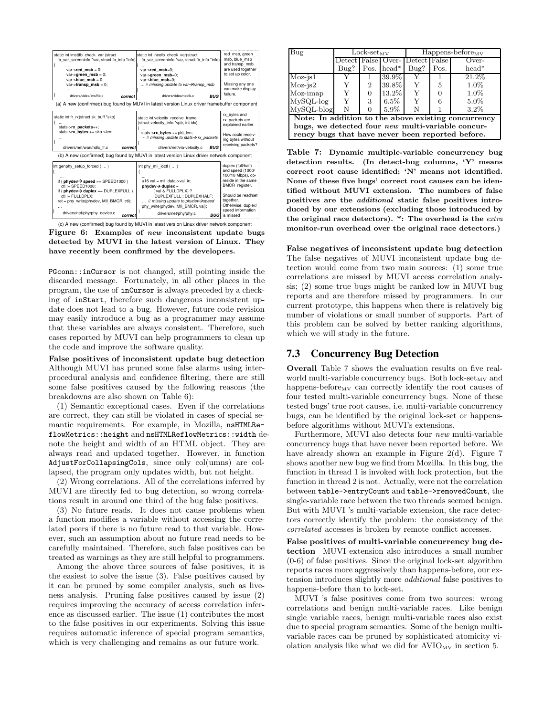

Figure 6: Examples of new inconsistent update bugs detected by MUVI in the latest version of Linux. They have recently been confirmed by the developers.

PGconn::inCursor is not changed, still pointing inside the discarded message. Fortunately, in all other places in the program, the use of inCursor is always preceded by a checking of inStart, therefore such dangerous inconsistent update does not lead to a bug. However, future code revision may easily introduce a bug as a programmer may assume that these variables are always consistent. Therefore, such cases reported by MUVI can help programmers to clean up the code and improve the software quality.

False positives of inconsistent update bug detection Although MUVI has pruned some false alarms using interprocedural analysis and confidence filtering, there are still some false positives caused by the following reasons (the breakdowns are also shown on Table 6):

(1) Semantic exceptional cases. Even if the correlations are correct, they can still be violated in cases of special semantic requirements. For example, in Mozilla, nsHTMLReflowMetrics::height and nsHTMLReflowMetrics::width denote the height and width of an HTML object. They are always read and updated together. However, in function AdjustForCollapsingCols, since only col(umns) are collapsed, the program only updates width, but not height.

(2) Wrong correlations. All of the correlations inferred by MUVI are directly fed to bug detection, so wrong correlations result in around one third of the bug false positives.

(3) No future reads. It does not cause problems when a function modifies a variable without accessing the correlated peers if there is no future read to that variable. However, such an assumption about no future read needs to be carefully maintained. Therefore, such false positives can be treated as warnings as they are still helpful to programmers.

Among the above three sources of false positives, it is the easiest to solve the issue (3). False positives caused by it can be pruned by some compiler analysis, such as liveness analysis. Pruning false positives caused by issue (2) requires improving the accuracy of access correlation inference as discussed earlier. The issue (1) contributes the most to the false positives in our experiments. Solving this issue requires automatic inference of special program semantics, which is very challenging and remains as our future work.

| Bug                                                                                                          | $Lock-set_{MV}$                                     |                |          | $Happens\text{-}before_{MV}$          |      |          |  |  |
|--------------------------------------------------------------------------------------------------------------|-----------------------------------------------------|----------------|----------|---------------------------------------|------|----------|--|--|
|                                                                                                              |                                                     |                |          | Detect False   Over-   Detect   False |      | Over-    |  |  |
|                                                                                                              | Bug?                                                | Pos.           | $head*$  | Bug?                                  | Pos. | $head*$  |  |  |
| $Moz-js1$                                                                                                    |                                                     |                | 39.9%    |                                       |      | $21.2\%$ |  |  |
| $Moz-$ is $2$                                                                                                |                                                     | $\overline{2}$ | 39.8%    |                                       | 5    | $1.0\%$  |  |  |
| Moz-imap                                                                                                     | Y                                                   | 0              | $13.2\%$ | Y                                     |      | $1.0\%$  |  |  |
| $MySQL-log$                                                                                                  | Y                                                   | 3              | $6.5\%$  |                                       |      | $5.0\%$  |  |  |
| MySQL-blog                                                                                                   | N                                                   |                | $5.9\%$  | N                                     |      | $3.2\%$  |  |  |
|                                                                                                              | Note: In addition to the above existing concurrency |                |          |                                       |      |          |  |  |
| bugs, we detected four <i>new</i> multi-variable concur-<br>rency bugs that have never been reported before. |                                                     |                |          |                                       |      |          |  |  |

Table 7: Dynamic multiple-variable concurrency bug detection results. (In detect-bug columns, 'Y' means correct root cause identified; 'N' means not identified. None of these five bugs' correct root causes can be identified without MUVI extension. The numbers of false positives are the additional static false positives introduced by our extensions (excluding those introduced by the original race detectors). \*: The overhead is the extra monitor-run overhead over the original race detectors.)

False negatives of inconsistent update bug detection The false negatives of MUVI inconsistent update bug detection would come from two main sources: (1) some true correlations are missed by MUVI access correlation analysis; (2) some true bugs might be ranked low in MUVI bug reports and are therefore missed by programmers. In our current prototype, this happens when there is relatively big number of violations or small number of supports. Part of this problem can be solved by better ranking algorithms, which we will study in the future.

# **7.3 Concurrency Bug Detection**

Overall Table 7 shows the evaluation results on five realworld multi-variable concurrency bugs. Both lock-set<sub>MV</sub> and happens-before<sub>MV</sub> can correctly identify the root causes of four tested multi-variable concurrency bugs. None of these tested bugs' true root causes, i.e. multi-variable concurrency bugs, can be identified by the original lock-set or happensbefore algorithms without MUVI's extensions.

Furthermore, MUVI also detects four new multi-variable concurrency bugs that have never been reported before. We have already shown an example in Figure 2(d). Figure 7 shows another new bug we find from Mozilla. In this bug, the function in thread 1 is invoked with lock protection, but the function in thread 2 is not. Actually, were not the correlation between table->entryCount and table->removedCount, the single-variable race between the two threads seemed benign. But with MUVI 's multi-variable extension, the race detectors correctly identify the problem: the consistency of the correlated accesses is broken by remote conflict accesses.

False positives of multi-variable concurrency bug detection MUVI extension also introduces a small number (0-6) of false positives. Since the original lock-set algorithm reports races more aggressively than happens-before, our extension introduces slightly more additional false positives to happens-before than to lock-set.

MUVI 's false positives come from two sources: wrong correlations and benign multi-variable races. Like benign single variable races, benign multi-variable races also exist due to special program semantics. Some of the benign multivariable races can be pruned by sophisticated atomicity violation analysis like what we did for  $AVIO_{MV}$  in section 5.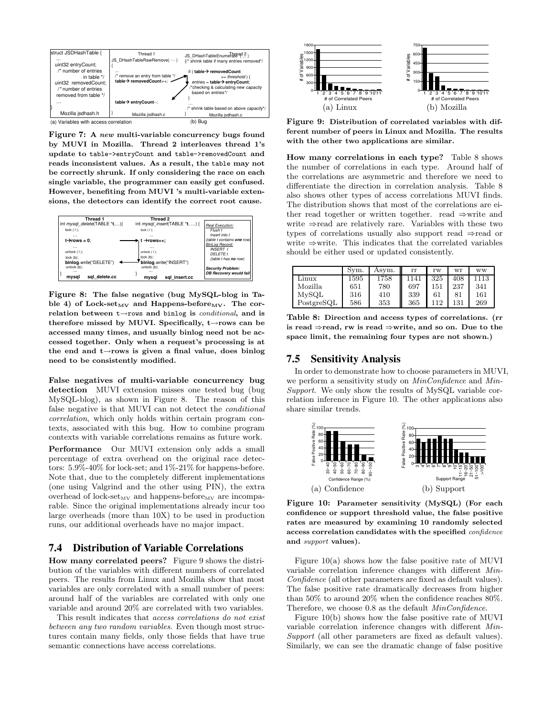

Figure 7: A new multi-variable concurrency bugs found by MUVI in Mozilla. Thread 2 interleaves thread 1's update to table->entryCount and table->removedCount and reads inconsistent values. As a result, the table may not be correctly shrunk. If only considering the race on each single variable, the programmer can easily get confused. However, benefiting from MUVI 's multi-variable extensions, the detectors can identify the correct root cause.



Figure 8: The false negative (bug MySQL-blog in Table 4) of Lock-set<sub>MV</sub> and Happens-before<sub>MV</sub>. The correlation between t→rows and binlog is conditional, and is therefore missed by MUVI. Specifically, t→rows can be accessed many times, and usually binlog need not be accessed together. Only when a request's processing is at the end and  $t \rightarrow rows$  is given a final value, does binlog need to be consistently modified.

False negatives of multi-variable concurrency bug detection MUVI extension misses one tested bug (bug MySQL-blog), as shown in Figure 8. The reason of this false negative is that MUVI can not detect the conditional correlation, which only holds within certain program contexts, associated with this bug. How to combine program contexts with variable correlations remains as future work.

Performance Our MUVI extension only adds a small percentage of extra overhead on the original race detectors: 5.9%-40% for lock-set; and 1%-21% for happens-before. Note that, due to the completely different implementations (one using Valgrind and the other using PIN), the extra overhead of lock-set<sub>MV</sub> and happens-before<sub>MV</sub> are incomparable. Since the original implementations already incur too large overheads (more than 10X) to be used in production runs, our additional overheads have no major impact.

## **7.4 Distribution of Variable Correlations**

How many correlated peers? Figure 9 shows the distribution of the variables with different numbers of correlated peers. The results from Linux and Mozilla show that most variables are only correlated with a small number of peers: around half of the variables are correlated with only one variable and around 20% are correlated with two variables.

This result indicates that access correlations do not exist between any two random variables. Even though most structures contain many fields, only those fields that have true semantic connections have access correlations.



Figure 9: Distribution of correlated variables with different number of peers in Linux and Mozilla. The results with the other two applications are similar.

How many correlations in each type? Table 8 shows the number of correlations in each type. Around half of the correlations are asymmetric and therefore we need to differentiate the direction in correlation analysis. Table 8 also shows other types of access correlations MUVI finds. The distribution shows that most of the correlations are either read together or written together. read ⇒write and write ⇒read are relatively rare. Variables with these two types of correlations usually also support read ⇒read or write ⇒write. This indicates that the correlated variables should be either used or updated consistently.

|                         | Svm. | Asvm. | rr   | rw  | wr  | ww   |
|-------------------------|------|-------|------|-----|-----|------|
| Linux                   | 1595 | 1758  | 1141 | 325 | 408 | 1113 |
| Mozilla                 | 651  | 780   | 697  | 151 | 237 | 341  |
| $_{\rm MySQL}$          | 316  | 410   | 339  | 61  | 81  | 161  |
| Post <sub>gr</sub> esQL | 586  | 353   | 365  | 112 | 131 | 269  |

Table 8: Direction and access types of correlations. (rr is read ⇒read, rw is read ⇒write, and so on. Due to the space limit, the remaining four types are not shown.)

# **7.5 Sensitivity Analysis**

In order to demonstrate how to choose parameters in MUVI, we perform a sensitivity study on  $MinConfidence$  and  $Min$ -Support. We only show the results of MySQL variable correlation inference in Figure 10. The other applications also share similar trends.



Figure 10: Parameter sensitivity (MySQL) (For each confidence or support threshold value, the false positive rates are measured by examining 10 randomly selected access correlation candidates with the specified confidence and support values).

Figure 10(a) shows how the false positive rate of MUVI variable correlation inference changes with different Min-Confidence (all other parameters are fixed as default values). The false positive rate dramatically decreases from higher than 50% to around 20% when the confidence reaches 80%. Therefore, we choose 0.8 as the default MinConfidence.

Figure 10(b) shows how the false positive rate of MUVI variable correlation inference changes with different Min-Support (all other parameters are fixed as default values). Similarly, we can see the dramatic change of false positive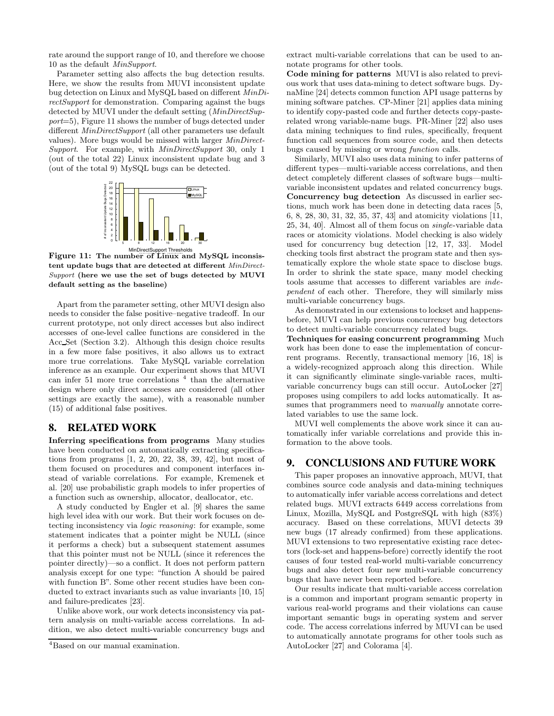rate around the support range of 10, and therefore we choose 10 as the default MinSupport.

Parameter setting also affects the bug detection results. Here, we show the results from MUVI inconsistent update bug detection on Linux and MySQL based on different MinDirectSupport for demonstration. Comparing against the bugs detected by MUVI under the default setting (*MinDirectSup*port=5), Figure 11 shows the number of bugs detected under different *MinDirectSupport* (all other parameters use default values). More bugs would be missed with larger MinDirect-Support. For example, with MinDirectSupport 30, only 1 (out of the total 22) Linux inconsistent update bug and 3 (out of the total 9) MySQL bugs can be detected.



MinDirectSupport Thresholds<br>Figure 11: The number of Linux and MySQL inconsistent update bugs that are detected at different MinDirect-Support (here we use the set of bugs detected by MUVI default setting as the baseline)

Apart from the parameter setting, other MUVI design also needs to consider the false positive–negative tradeoff. In our current prototype, not only direct accesses but also indirect accesses of one-level callee functions are considered in the Acc Set (Section 3.2). Although this design choice results in a few more false positives, it also allows us to extract more true correlations. Take MySQL variable correlation inference as an example. Our experiment shows that MUVI can infer 51 more true correlations<sup>4</sup> than the alternative design where only direct accesses are considered (all other settings are exactly the same), with a reasonable number (15) of additional false positives.

# **8. RELATED WORK**

Inferring specifications from programs Many studies have been conducted on automatically extracting specifications from programs [1, 2, 20, 22, 38, 39, 42], but most of them focused on procedures and component interfaces instead of variable correlations. For example, Kremenek et al. [20] use probabilistic graph models to infer properties of a function such as ownership, allocator, deallocator, etc.

A study conducted by Engler et al. [9] shares the same high level idea with our work. But their work focuses on detecting inconsistency via logic reasoning: for example, some statement indicates that a pointer might be NULL (since it performs a check) but a subsequent statement assumes that this pointer must not be NULL (since it references the pointer directly)—so a conflict. It does not perform pattern analysis except for one type: "function A should be paired with function B". Some other recent studies have been conducted to extract invariants such as value invariants [10, 15] and failure-predicates [23].

Unlike above work, our work detects inconsistency via pattern analysis on multi-variable access correlations. In addition, we also detect multi-variable concurrency bugs and extract multi-variable correlations that can be used to annotate programs for other tools.

Code mining for patterns MUVI is also related to previous work that uses data-mining to detect software bugs. DynaMine [24] detects common function API usage patterns by mining software patches. CP-Miner [21] applies data mining to identify copy-pasted code and further detects copy-pasterelated wrong variable-name bugs. PR-Miner [22] also uses data mining techniques to find rules, specifically, frequent function call sequences from source code, and then detects bugs caused by missing or wrong function calls.

Similarly, MUVI also uses data mining to infer patterns of different types—multi-variable access correlations, and then detect completely different classes of software bugs—multivariable inconsistent updates and related concurrency bugs. Concurrency bug detection As discussed in earlier sections, much work has been done in detecting data races [5, 6, 8, 28, 30, 31, 32, 35, 37, 43] and atomicity violations [11, 25, 34, 40]. Almost all of them focus on single-variable data races or atomicity violations. Model checking is also widely used for concurrency bug detection [12, 17, 33]. Model checking tools first abstract the program state and then systematically explore the whole state space to disclose bugs. In order to shrink the state space, many model checking tools assume that accesses to different variables are independent of each other. Therefore, they will similarly miss multi-variable concurrency bugs.

As demonstrated in our extensions to lockset and happensbefore, MUVI can help previous concurrency bug detectors to detect multi-variable concurrency related bugs.

Techniques for easing concurrent programming Much work has been done to ease the implementation of concurrent programs. Recently, transactional memory [16, 18] is a widely-recognized approach along this direction. While it can significantly eliminate single-variable races, multivariable concurrency bugs can still occur. AutoLocker [27] proposes using compilers to add locks automatically. It assumes that programmers need to *manually* annotate correlated variables to use the same lock.

MUVI well complements the above work since it can automatically infer variable correlations and provide this information to the above tools.

# **9. CONCLUSIONS AND FUTURE WORK**

This paper proposes an innovative approach, MUVI, that combines source code analysis and data-mining techniques to automatically infer variable access correlations and detect related bugs. MUVI extracts 6449 access correlations from Linux, Mozilla, MySQL and PostgreSQL with high (83%) accuracy. Based on these correlations, MUVI detects 39 new bugs (17 already confirmed) from these applications. MUVI extensions to two representative existing race detectors (lock-set and happens-before) correctly identify the root causes of four tested real-world multi-variable concurrency bugs and also detect four new multi-variable concurrency bugs that have never been reported before.

Our results indicate that multi-variable access correlation is a common and important program semantic property in various real-world programs and their violations can cause important semantic bugs in operating system and server code. The access correlations inferred by MUVI can be used to automatically annotate programs for other tools such as AutoLocker [27] and Colorama [4].

<sup>4</sup>Based on our manual examination.